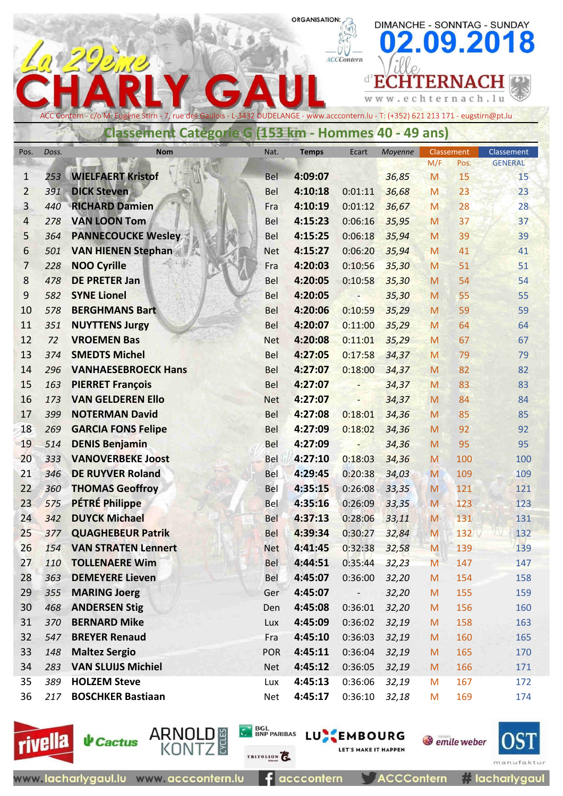# ORGANISATION:

DIMANCHE - SONNTAG - SUNDAY

|                |       |                                                                                                                                        |            |              |                          |                 |                   |                 | 02.09.2018                   |
|----------------|-------|----------------------------------------------------------------------------------------------------------------------------------------|------------|--------------|--------------------------|-----------------|-------------------|-----------------|------------------------------|
|                |       |                                                                                                                                        |            |              | <b>ACCContern</b>        |                 |                   |                 |                              |
|                |       |                                                                                                                                        |            |              |                          | d'ECI           |                   | <b>ITERNACH</b> |                              |
|                |       |                                                                                                                                        |            |              |                          | w.echternach.lu |                   |                 |                              |
|                |       | ACC Contern - c/o M. Eugène Stirn - 7, rue des Gaulois - L-3432 DUDELANGE - www.acccontern.lu - T: (+352) 621 213 171 - eugstirn@pt.lu |            |              |                          |                 |                   |                 |                              |
|                |       | Classement Categorie G (153 km - Hommes 40 - 49 ans)                                                                                   |            |              |                          |                 |                   |                 |                              |
|                |       |                                                                                                                                        |            |              |                          |                 |                   |                 |                              |
| Pos.           | Doss. | <b>Nom</b>                                                                                                                             | Nat.       | <b>Temps</b> | Ecart                    | Moyenne         | Classement<br>M/F | Pos.            | Classement<br><b>GENERAL</b> |
| 1              | 253   | <b>WIELFAERT Kristof</b>                                                                                                               | Bel        | 4:09:07      |                          | 36,85           | M                 | 15              | 15                           |
| $\overline{2}$ | 391   | <b>DICK Steven</b>                                                                                                                     | <b>Bel</b> | 4:10:18      | 0:01:11                  | 36,68           | M                 | 23              | 23                           |
| $\overline{3}$ | 440   | <b>RICHARD Damien</b>                                                                                                                  | Fra        | 4:10:19      | 0:01:12                  | 36,67           | M                 | 28              | 28                           |
| 4              | 278   | <b>VAN LOON Tom</b>                                                                                                                    | <b>Bel</b> | 4:15:23      | 0:06:16                  | 35,95           | M                 | 37              | 37                           |
| 5              | 364   | <b>PANNECOUCKE Wesley</b>                                                                                                              | Bel        | 4:15:25      | 0:06:18                  | 35,94           | M                 | 39              | 39                           |
| 6              | 501   | <b>VAN HIENEN Stephan</b>                                                                                                              | <b>Net</b> | 4:15:27      | 0:06:20                  | 35,94           | M                 | 41              | 41                           |
| $\overline{7}$ | 228   | <b>NOO Cyrille</b>                                                                                                                     | Fra        | 4:20:03      | 0:10:56                  | 35,30           | M                 | 51              | 51                           |
| 8              | 478   | <b>DE PRETER Jan</b>                                                                                                                   | Bel        | 4:20:05      | 0:10:58                  | 35,30           | M                 | 54              | 54                           |
| 9              | 582   | <b>SYNE Lionel</b>                                                                                                                     | Bel        | 4:20:05      |                          | 35,30           | M                 | 55              | 55                           |
| 10             | 578   | <b>BERGHMANS Bart</b>                                                                                                                  | <b>Bel</b> | 4:20:06      | 0:10:59                  | 35,29           | M                 | 59              | 59                           |
| 11             | 351   | <b>NUYTTENS Jurgy</b>                                                                                                                  | Bel        | 4:20:07      | 0:11:00                  | 35,29           | M                 | 64              | 64                           |
| 12             | 72    | <b>VROEMEN Bas</b>                                                                                                                     | <b>Net</b> | 4:20:08      | 0:11:01                  | 35,29           | M                 | 67              | 67                           |
| 13             | 374   | <b>SMEDTS Michel</b>                                                                                                                   | Bel        | 4:27:05      | 0:17:58                  | 34,37           | M                 | 79              | 79                           |
| 14             | 296   | <b>VANHAESEBROECK Hans</b>                                                                                                             | Bel        | 4:27:07      | 0:18:00                  | 34,37           | M                 | 82              | 82                           |
| 15             | 163   | <b>PIERRET François</b>                                                                                                                | <b>Bel</b> | 4:27:07      |                          | 34,37           | M                 | 83              | 83                           |
| 16             | 173   | <b>VAN GELDEREN Ello</b>                                                                                                               | <b>Net</b> | 4:27:07      | $\overline{\phantom{0}}$ | 34,37           | M                 | 84              | 84                           |
| 17             | 399   | <b>NOTERMAN David</b>                                                                                                                  | Bel        | 4:27:08      | 0:18:01                  | 34,36           | M                 | 85              | 85                           |
| 18             | 269   | <b>GARCIA FONS Felipe</b>                                                                                                              | <b>Bel</b> | 4:27:09      | 0:18:02                  | 34,36           | M                 | 92              | 92                           |
| 19             | 514   | <b>DENIS Benjamin</b>                                                                                                                  | Bel        | 4:27:09      |                          | 34,36           | M                 | 95              | 95                           |
| 20             | 333   | <b>VANOVERBEKE Joost</b>                                                                                                               | Bel        | 4:27:10      | 0:18:03                  | 34,36           | M                 | 100             | 100                          |
| 21             | 346   | <b>DE RUYVER Roland</b>                                                                                                                | Bel        | 4:29:45      | 0:20:38                  | 34,03           | M                 | 109             | 109                          |
| 22             | 360   | <b>THOMAS Geoffroy</b>                                                                                                                 | Bel        | 4:35:15      | 0:26:08                  | 33,35           | M                 | 121             | 121                          |
| 23             | 575   | <b>PÉTRÉ Philippe</b>                                                                                                                  | Bel        | 4:35:16      | 0:26:09                  | 33,35           | M                 | 123             | 123                          |
| 24             | 342   | <b>DUYCK Michael</b>                                                                                                                   | <b>Bel</b> | 4:37:13      | 0:28:06                  | 33,11           | ${\sf M}$         | 131             | 131                          |
| 25             | 377   | <b>QUAGHEBEUR Patrik</b>                                                                                                               | <b>Bel</b> | 4:39:34      | 0:30:27                  | 32,84           | M                 | 132             | 132                          |
| 26             | 154   | <b>VAN STRATEN Lennert</b>                                                                                                             | <b>Net</b> | 4:41:45      | 0:32:38                  | 32,58           | M                 | 139             | 139                          |
| 27             | 110   | <b>TOLLENAERE Wim</b>                                                                                                                  | <b>Bel</b> | 4:44:51      | 0:35:44                  | 32,23           | M                 | 147             | 147                          |
| 28             | 363   | <b>DEMEYERE Lieven</b>                                                                                                                 | Bel        | 4:45:07      | 0:36:00                  | 32,20           | M                 | 154             | 158                          |
| 29             | 355   | <b>MARING Joerg</b>                                                                                                                    | Ger        | 4:45:07      |                          | 32,20           | M                 | 155             | 159                          |
| 30             | 468   | <b>ANDERSEN Stig</b>                                                                                                                   | Den        | 4:45:08      | 0:36:01                  | 32,20           | M                 | 156             | 160                          |
| 31             | 370   | <b>BERNARD Mike</b>                                                                                                                    | Lux        | 4:45:09      | 0:36:02                  | 32,19           | M                 | 158             | 163                          |
| 32             | 547   | <b>BREYER Renaud</b>                                                                                                                   | Fra        | 4:45:10      | 0:36:03                  | 32,19           | ${\sf M}$         | 160             | 165                          |
| 33             | 148   | <b>Maltez Sergio</b>                                                                                                                   | <b>POR</b> | 4:45:11      | 0:36:04                  | 32,19           | M                 | 165             | 170                          |
| 34             | 283   | <b>VAN SLUIJS Michiel</b>                                                                                                              | <b>Net</b> | 4:45:12      | 0:36:05                  | 32,19           | M                 | 166             | 171                          |
| 35             | 389   | <b>HOLZEM Steve</b>                                                                                                                    | Lux        | 4:45:13      | 0:36:06                  | 32,19           | M                 | 167             | 172                          |
| 36             | 217   | <b>BOSCHKER Bastiaan</b>                                                                                                               | Net        | 4:45:17      | 0:36:10                  | 32,18           | M                 | 169             | 174                          |





**↓** Cactus

ARNOLD #<br>KONTZ

 $f$  acccontern

TRIFOLION

**CA BOL BOL LUNE EMBOURG** 

**ACCContern** 

LET'S MAKE IT HAPPEN

mant # lacharlygaul

*O* emile weber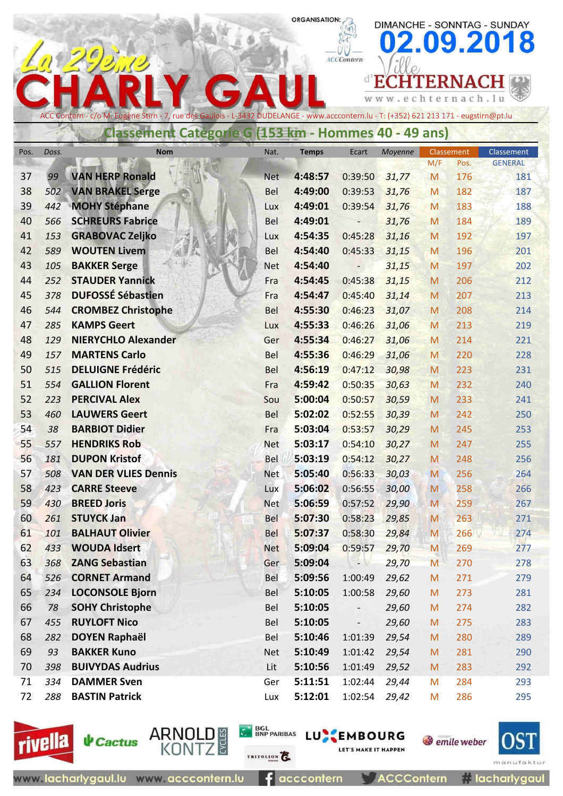#### ORGANISATION:

DIMANCHE - SONNTAG - SUNDAY 02.09.2018

|          |           |                                                                                                                                        |                   |                    |                    |                   |            |            | 02.09.2018     |
|----------|-----------|----------------------------------------------------------------------------------------------------------------------------------------|-------------------|--------------------|--------------------|-------------------|------------|------------|----------------|
|          |           |                                                                                                                                        |                   |                    | <b>ACCContern</b>  |                   |            |            |                |
|          |           |                                                                                                                                        |                   |                    |                    | ECH               |            | ITERNACH   |                |
|          |           |                                                                                                                                        |                   |                    |                    | www.echternach.lu |            |            |                |
|          |           | ACC Contern - c/o M. Eugène Stirn - 7, rue des Gaulois - L-3432 DUDELANGE - www.acccontern.lu - T: (+352) 621 213 171 - eugstirn@pt.lu |                   |                    |                    |                   |            |            |                |
|          |           | <b>Classement Categorie G (153 km - Hommes 40 - 49 ans)</b>                                                                            |                   |                    |                    |                   |            |            |                |
|          | Doss.     | <b>Nom</b>                                                                                                                             | Nat.              |                    | Ecart              | Moyenne           | Classement |            | Classement     |
| Pos.     |           |                                                                                                                                        |                   | <b>Temps</b>       |                    |                   | M/F        | Pos.       | <b>GENERAL</b> |
| 37       | 99        | <b>VAN HERP Ronald</b>                                                                                                                 | <b>Net</b>        | 4:48:57            | 0:39:50            | 31,77             | M          | 176        | 181            |
| 38       | 502       | <b>VAN BRAKEL Serge</b>                                                                                                                | <b>Bel</b>        | 4:49:00            | 0:39:53            | 31,76             | M          | 182        | 187            |
| 39       | 442       | <b>MOHY Stéphane</b>                                                                                                                   | Lux               | 4:49:01            | 0:39:54            | 31,76             | M          | 183        | 188            |
| 40       | 566       | <b>SCHREURS Fabrice</b>                                                                                                                | Bel               | 4:49:01            |                    | 31,76             | M          | 184        | 189            |
| 41       | 153       | <b>GRABOVAC Zeljko</b>                                                                                                                 | Lux               | 4:54:35            | 0:45:28            | 31,16             | M          | 192        | 197            |
| 42       | 589       | <b>WOUTEN Livem</b>                                                                                                                    | Bel               | 4:54:40            | 0:45:33            | 31,15             | M          | 196        | 201            |
| 43       | 105       | <b>BAKKER Serge</b>                                                                                                                    | <b>Net</b>        | 4:54:40            |                    | 31,15             | M          | 197        | 202            |
| 44       | 252       | <b>STAUDER Yannick</b>                                                                                                                 | Fra               | 4:54:45            | 0:45:38            | 31,15             | M          | 206        | 212            |
| 45       | 378       | <b>DUFOSSÉ Sébastien</b>                                                                                                               | Fra               | 4:54:47            | 0:45:40            | 31,14             | M          | 207        | 213            |
| 46       | 544       | <b>CROMBEZ Christophe</b>                                                                                                              | <b>Bel</b>        | 4:55:30            | 0:46:23            | 31,07             | M          | 208        | 214            |
| 47       | 285       | <b>KAMPS Geert</b>                                                                                                                     | Lux               | 4:55:33            | 0:46:26            | 31,06             | M          | 213        | 219            |
| 48       | 129       | <b>NIERYCHLO Alexander</b>                                                                                                             | Ger               | 4:55:34            | 0:46:27            | 31,06             | M          | 214        | 221            |
| 49       | 157       | <b>MARTENS Carlo</b>                                                                                                                   | Bel               | 4:55:36            | 0:46:29            | 31,06             | M          | 220        | 228            |
| 50       | 515       | <b>DELUIGNE Frédéric</b>                                                                                                               | Bel               | 4:56:19            | 0:47:12            | 30,98             | M          | 223        | 231            |
| 51       | 554       | <b>GALLION Florent</b>                                                                                                                 | Fra               | 4:59:42            | 0:50:35            | 30,63             | M          | 232        | 240            |
| 52       | 223       | <b>PERCIVAL Alex</b>                                                                                                                   | Sou               | 5:00:04            | 0:50:57            | 30,59             | M          | 233        | 241            |
| 53       | 460       | <b>LAUWERS Geert</b>                                                                                                                   | Bel               | 5:02:02            | 0:52:55            | 30,39             | M          | 242        | 250            |
| 54       | 38        | <b>BARBIOT Didier</b>                                                                                                                  | Fra               | 5:03:04            | 0:53:57            | 30,29             | M          | 245        | 253            |
| 55       | 557       | <b>HENDRIKS Rob</b>                                                                                                                    | <b>Net</b>        | 5:03:17            | 0:54:10            | 30,27             | M          | 247        | 255            |
| 56       | 181       | <b>DUPON Kristof</b>                                                                                                                   | Bel               | 5:03:19            | $0:54:12$ $30,27$  |                   | ${\sf M}$  | 248        | 256            |
| 57       | 508       | <b>VAN DER VLIES Dennis</b>                                                                                                            | <b>Net</b>        | 5:05:40            | 0:56:33            | 30,03             | M          | 256        | 264            |
| 58       | 423       | <b>CARRE Steeve</b>                                                                                                                    | Lux               | 5:06:02            | 0:56:55            | 30,00             | M          | 258        | 266            |
| 59       | 430       | <b>BREED Joris</b>                                                                                                                     | <b>Net</b>        | 5:06:59            | 0:57:52            | 29,90             | M          | 259        | 267            |
| 60       | 261       | <b>STUYCK Jan</b>                                                                                                                      | <b>Bel</b>        | 5:07:30            | 0:58:23            | 29,85             | M          | 263        | 271            |
| 61       | 101       | <b>BALHAUT Olivier</b>                                                                                                                 | <b>Bel</b>        | 5:07:37            | 0:58:30            | 29,84             | M          | 266        | 274            |
| 62       | 433       | <b>WOUDA Idsert</b>                                                                                                                    | <b>Net</b>        | 5:09:04            | 0:59:57            | 29,70             | M          | 269        | 277            |
| 63       | 368       | <b>ZANG Sebastian</b>                                                                                                                  | Ger               | 5:09:04            | - 14               | 29,70             | M          | 270        | 278            |
| 64       | 526       | <b>CORNET Armand</b>                                                                                                                   | Bel               | 5:09:56            | 1:00:49            | 29,62             | ${\sf M}$  | 271        | 279            |
| 65       | 234       | <b>LOCONSOLE Bjorn</b>                                                                                                                 | Bel               | 5:10:05            | 1:00:58            | 29,60             | ${\sf M}$  | 273        | 281            |
| 66       | 78        | <b>SOHY Christophe</b>                                                                                                                 | Bel               | 5:10:05            | -                  | 29,60             | M          | 274        | 282            |
| 67       | 455       | <b>RUYLOFT Nico</b>                                                                                                                    | Bel               | 5:10:05            |                    | 29,60             | M          | 275        | 283            |
| 68<br>69 | 282       | <b>DOYEN Raphaël</b><br><b>BAKKER Kuno</b>                                                                                             | <b>Bel</b>        | 5:10:46            | 1:01:39            | 29,54             | M          | 280        | 289            |
| 70       | 93<br>398 | <b>BUIVYDAS Audrius</b>                                                                                                                | <b>Net</b><br>Lit | 5:10:49<br>5:10:56 | 1:01:42<br>1:01:49 | 29,54             | M          | 281<br>283 | 290            |
| 71       | 334       | <b>DAMMER Sven</b>                                                                                                                     | Ger               | 5:11:51            | 1:02:44            | 29,52<br>29,44    | M<br>M     | 284        | 292<br>293     |
| 72       | 288       | <b>BASTIN Patrick</b>                                                                                                                  |                   |                    |                    |                   |            |            |                |
|          |           |                                                                                                                                        | Lux               | 5:12:01            | 1:02:54            | 29,42             | M          | 286        | 295            |





**↓** Cactus

**ARNOLD** 

 $f$  acccontern

TRIFOLION

**CA BOL BARIBAS LU EMBOURG** 

**ACCContern** 

**LET'S MAKE IT HAPPEN** 

**// lacharlygaul** 

**S** emile weber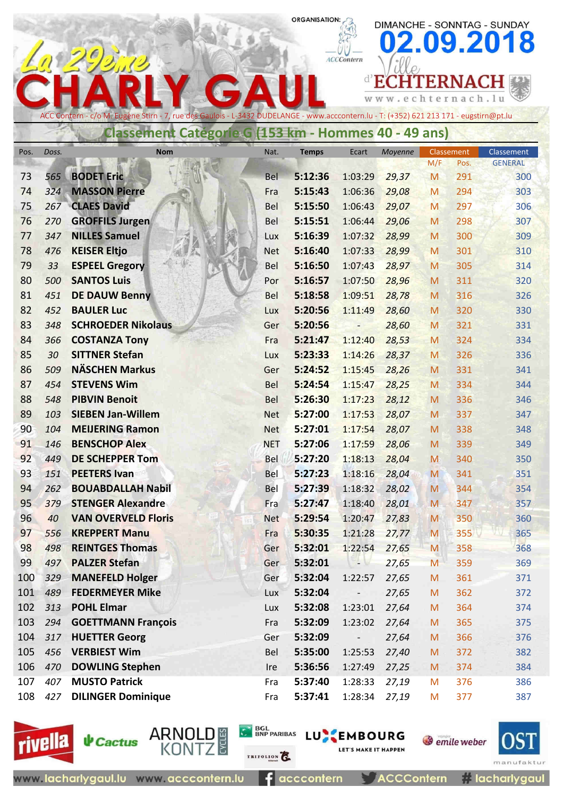#### **ORGANISATION:**

|          |            |                                                                                                                                                                                                       |                   |                    | <b>ACCContern</b><br>$d$ <sup>D</sup> | www.echternach.lu |        | <b>ITERNAC</b> | 02.09.2018     |
|----------|------------|-------------------------------------------------------------------------------------------------------------------------------------------------------------------------------------------------------|-------------------|--------------------|---------------------------------------|-------------------|--------|----------------|----------------|
|          |            | ACC Contern - c/o M. Eugène Stirn - 7, rue des Gaulois - L-3432 DUDELANGE - www.acccontern.lu - T: (+352) 621 213 171 - eugstirn@pt.lu<br><b>Classement Categorie G (153 km - Hommes 40 - 49 ans)</b> |                   |                    |                                       |                   |        |                |                |
| Pos.     | Doss.      | <b>Nom</b>                                                                                                                                                                                            | Nat.              | <b>Temps</b>       | Ecart                                 | Moyenne           |        | Classement     | Classement     |
|          |            |                                                                                                                                                                                                       |                   |                    |                                       |                   | M/F    | Pos.           | <b>GENERAL</b> |
| 73       | 565        | <b>BODET Eric</b>                                                                                                                                                                                     | Bel               | 5:12:36            | 1:03:29                               | 29,37             | M      | 291            | 300            |
| 74       | 324        | <b>MASSON Pierre</b>                                                                                                                                                                                  | Fra               | 5:15:43            | 1:06:36                               | 29,08             | M      | 294            | 303            |
| 75<br>76 | 267<br>270 | <b>CLAES David</b><br><b>GROFFILS Jurgen</b>                                                                                                                                                          | <b>Bel</b>        | 5:15:50<br>5:15:51 | 1:06:43<br>1:06:44                    | 29,07             | M      | 297<br>298     | 306<br>307     |
| 77       | 347        | <b>NILLES Samuel</b>                                                                                                                                                                                  | <b>Bel</b><br>Lux | 5:16:39            | 1:07:32                               | 29,06<br>28,99    | M<br>M | 300            | 309            |
| 78       | 476        | <b>KEISER Eltjo</b>                                                                                                                                                                                   | <b>Net</b>        | 5:16:40            | 1:07:33                               | 28,99             | M      | 301            | 310            |
| 79       | 33         | <b>ESPEEL Gregory</b>                                                                                                                                                                                 | <b>Bel</b>        | 5:16:50            | 1:07:43                               | 28,97             | M      | 305            | 314            |
| 80       | 500        | <b>SANTOS Luis</b>                                                                                                                                                                                    | Por               | 5:16:57            | 1:07:50                               | 28,96             | M      | 311            | 320            |
| 81       | 451        | <b>DE DAUW Benny</b>                                                                                                                                                                                  | <b>Bel</b>        | 5:18:58            | 1:09:51                               | 28,78             | M      | 316            | 326            |
| 82       | 452        | <b>BAULER Luc</b>                                                                                                                                                                                     | Lux               | 5:20:56            | 1:11:49                               | 28,60             | M      | 320            | 330            |
| 83       | 348        | <b>SCHROEDER Nikolaus</b>                                                                                                                                                                             | Ger               | 5:20:56            | $\overline{\phantom{a}}$              | 28,60             | M      | 321            | 331            |
| 84       | 366        | <b>COSTANZA Tony</b>                                                                                                                                                                                  | Fra               | 5:21:47            | 1:12:40                               | 28,53             | M      | 324            | 334            |
| 85       | 30         | <b>SITTNER Stefan</b>                                                                                                                                                                                 | Lux               | 5:23:33            | 1:14:26                               | 28,37             | M      | 326            | 336            |
| 86       | 509        | <b>NÄSCHEN Markus</b>                                                                                                                                                                                 | Ger               | 5:24:52            | 1:15:45                               | 28,26             | M      | 331            | 341            |
| 87       | 454        | <b>STEVENS Wim</b>                                                                                                                                                                                    | <b>Bel</b>        | 5:24:54            | 1:15:47                               | 28,25             | M      | 334            | 344            |
| 88       | 548        | <b>PIBVIN Benoit</b>                                                                                                                                                                                  | Bel               | 5:26:30            | 1:17:23                               | 28,12             | M      | 336            | 346            |
| 89       | 103        | <b>SIEBEN Jan-Willem</b>                                                                                                                                                                              | <b>Net</b>        | 5:27:00            | 1:17:53                               | 28,07             | M      | 337            | 347            |
| 90       | 104        | <b>MEIJERING Ramon</b>                                                                                                                                                                                | <b>Net</b>        | 5:27:01            | 1:17:54                               | 28,07             | M      | 338            | 348            |
| 91       | 146        | <b>BENSCHOP Alex</b>                                                                                                                                                                                  | <b>NET</b>        | 5:27:06            | 1:17:59                               | 28,06             | M      | 339            | 349            |
| 92       | 449        | <b>DE SCHEPPER Tom</b>                                                                                                                                                                                | <b>Bel</b>        | 5:27:20            | 1:18:13                               | 28,04             | M      | 340            | 350            |
| 93       | 151        | <b>PEETERS Ivan</b>                                                                                                                                                                                   | Bel               | 5:27:23            | 1:18:16                               | 28,04             | M      | 341            | 351            |
| 94       | 262        | <b>BOUABDALLAH Nabil</b>                                                                                                                                                                              | Bel               | 5:27:39            | 1:18:32                               | 28,02             | M      | 344            | 354            |
| 95       | 379        | <b>STENGER Alexandre</b>                                                                                                                                                                              | Fra               | 5:27:47            | 1:18:40                               | 28,01             | M      | 347            | 357            |
| 96       | 40         | <b>VAN OVERVELD Floris</b>                                                                                                                                                                            | <b>Net</b>        | 5:29:54            | 1:20:47                               | 27,83             | M      | 350            | 360            |
| 97       | 556        | <b>KREPPERT Manu</b>                                                                                                                                                                                  | Fra               | 5:30:35            | 1:21:28                               | 27,77             | M      | <b>355</b>     | 365            |
| 98       | 498        | <b>REINTGES Thomas</b>                                                                                                                                                                                | Ger               | 5:32:01            | 1:22:54                               | 27,65             | M      | 358            | 368            |
| 99       | 497        | <b>PALZER Stefan</b>                                                                                                                                                                                  | Ger               | 5:32:01            | 7 M                                   | 27,65             | M      | 359            | 369            |
| 100      | 329        | <b>MANEFELD Holger</b>                                                                                                                                                                                | Ger               | 5:32:04            | 1:22:57                               | 27,65             | M      | 361            | 371            |
| 101      | 489        | <b>FEDERMEYER Mike</b>                                                                                                                                                                                | Lux               | 5:32:04            | $\overline{\phantom{a}}$              | 27,65             | M      | 362            | 372            |
| 102      | 313        | <b>POHL Elmar</b>                                                                                                                                                                                     | Lux               | 5:32:08            | 1:23:01                               | 27,64             | M      | 364            | 374            |
| 103      | 294        | <b>GOETTMANN François</b>                                                                                                                                                                             | Fra               | 5:32:09            | 1:23:02                               | 27,64             | M      | 365            | 375            |
| 104      | 317        | <b>HUETTER Georg</b>                                                                                                                                                                                  | Ger               | 5:32:09            | $\overline{\phantom{a}}$              | 27,64             | M      | 366            | 376            |
| 105      | 456        | <b>VERBIEST Wim</b>                                                                                                                                                                                   | Bel               | 5:35:00            | 1:25:53                               | 27,40             | M      | 372            | 382            |
| 106      | 470        | <b>DOWLING Stephen</b>                                                                                                                                                                                | Ire               | 5:36:56            | 1:27:49                               | 27,25             | M      | 374            | 384            |
| 107      | 407        | <b>MUSTO Patrick</b>                                                                                                                                                                                  | Fra               | 5:37:40            | 1:28:33                               | 27,19             | M      | 376            | 386            |
| 108      | 427        | <b>DILINGER Dominique</b>                                                                                                                                                                             | Fra               | 5:37:41            | 1:28:34                               | 27,19             | M      | 377            | 387            |





**CA BOL BARIBAS LU EMBOURG** 

*O* emile weber

DIMANCHE - SONNTAG - SUNDAY



**Elacharlygaul** 

www.lacharlygaul.lu www.acccontern.lu

 $f$  acccontern

**ACCContern** 

**LET'S MAKE IT HAPPEN**